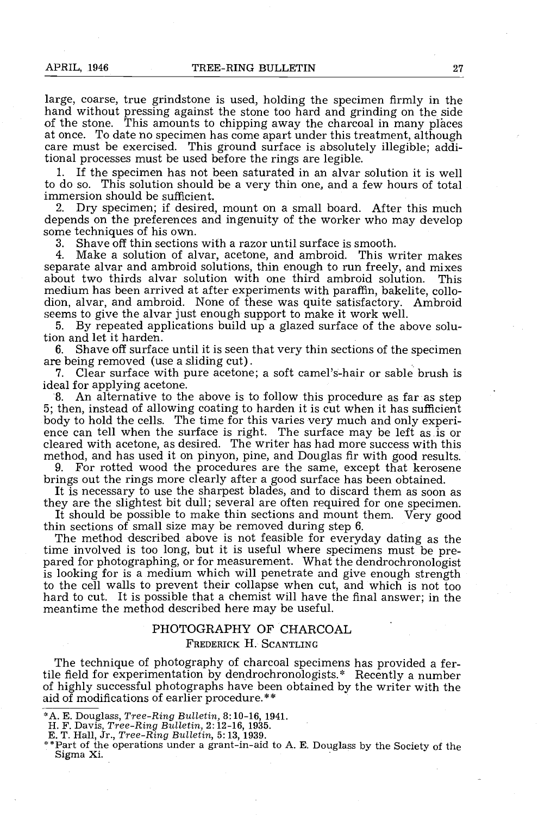large, coarse, true grindstone is used, holding the specimen firmly in the hand without pressing against the stone too hard and grinding on the side of the stone. This amounts to chipping away the charcoal in many places a care must be exercised. This ground surface is absolutely illegible; additional processes must be used before the rings are legible.

If the specimen has not been saturated in an alvar solution it is well to do so. This solution should be a very thin one, and a few hours of total immersion should be sufficient.

2. Dry specimen; if desired, mount on a small board. After this much depends on the preferences and ingenuity of the worker who may develop some techniques of his own.<br>3. Shave off thin sections

3. Shave off thin sections with a razor until surface is smooth.

Make a solution of alvar, acetone, and ambroid. This writer makes separate alvar and ambroid solutions, thin enough to run freely, and mixes about two thirds alvar solution with one third ambroid solution. This medium has been arrived at after experiments with paraffin, bakelite, collo- dion, alvar, and ambroid. None of these was quite satisfactory. Ambroid seems to give the alvar just enough support to make it work well.<br>5. By repeated applications build up a glazed surface of the a

5. By repeated applications build up a glazed surface of the above solution and let it harden.

6. Shave off surface until it is seen that very thin sections of the specimen are being removed (use a sliding cut).<br>7. Clear surface with pure acetone

Clear surface with pure acetone; a soft camel's-hair or sable brush is ideal for applying acetone.

8. An alternative to the above is to follow this procedure as far as step 5; then, instead of allowing coating to harden it is cut when it has sufficient body to hold the cells. The time for this varies very much and only experience can tell when the surface is right. The surface may be left as is or cleared with acetone, as desired. The writer has had more success with thi method, and has used it on pinyon, pine, and Douglas fir with good results.

9. For rotted wood the procedures are the same, except that kerosene brings out the rings more clearly after a good surface has been obtained. It is necessary to use the sharpest blades, and to discard them as soon as they

It should be possible to make thin sections and mount them. Very good thin sections of small size may be removed during step  $6$ .

The method described above is not feasible for everyday dating as the time involved is too long, but it is useful where specimens must be prepared for photographing, or for measurement. What the dendrochronologist is looking for is a medium which will penetrate and give enough strength to the cell walls to prevent their collapse when cut, and which is not too hard to cut. It is possible that a chemist will have the final answer; in the meantime the method described here may be useful.

## PHOTOGRAPHY OF CHARCOAL

### FREDERICK H. SCANTLING

The technique of photography of charcoal specimens has provided a fertile field for experimentation by dendrochronologists.\* Recently a number of highly successful photographs have been obtained by the writer with the aid of modifications of earlier procedure. \*\*

- 
- 

<sup>\*</sup> A. E. Douglass, Tree-Ring Bulletin, 8:10-16, 1941.<br>
H. F. Davis, Tree-Ring Bulletin, 2:12-16, 1935.<br>
E. T. Hall, Jr., Tree-Ring Bulletin, 5:13, 1939.<br>
\*\*Part of the operations under a grant-in-aid to A. E. Douglass by t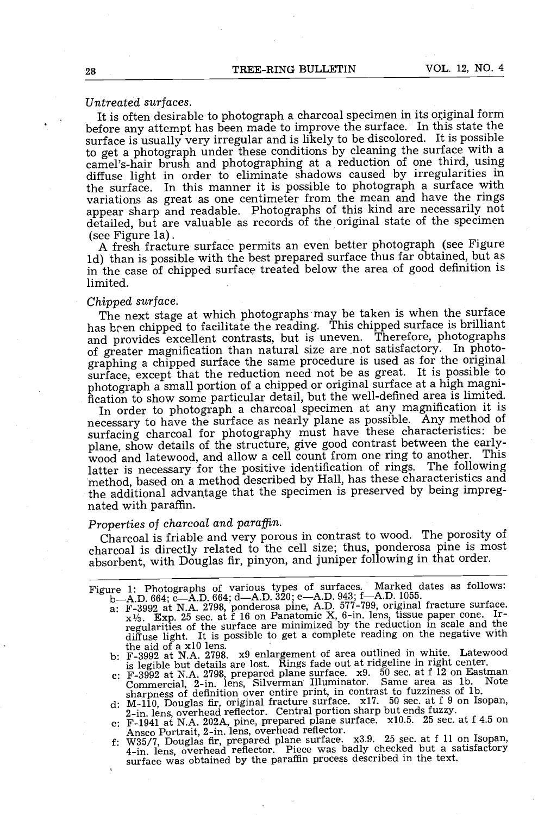# Untreated surfaces.

It is often desirable to photograph a charcoal specimen in its original form before any attempt has been made to improve the surface. In this state the surface is usually very irregular and is likely to be discolored. It is possible to get a photograph under these conditions by cleaning the surface with a camel's -hair brush and photographing at a reduction of one third, using diffuse light in order to eliminate shadows caused by irregularities in the surface. In this manner it is possible to photograph a surface with variations as great as one centimeter from the mean and have the rings<br>appear sharp and readable. Photographs of this kind are necessarily not detailed, but are valuable as records of the original state of the specimen

(see Figure la) . A fresh fracture surface permits an even better photograph (see Figure ld) than is possible with the best prepared surface thus far obtained, but as in the case of chipped surface treated below the area of good definition is limited.

Chipped surface. The next stage at which photographs may be taken is when the surface has been chipped to facilitate the reading. This chipped surface is brilliant and provides excellent contrasts, but is uneven. Therefore, photographs of greater magnification than natural size are not satisfactory. In photographing a chipped surface the same procedure is used as for the original surface, except that the reduction need not be as great. It is possible to photograph a small portion of a chipped or original surface at a high magnification to show some particular detail, but the well-defined area is limited.

In order to photograph a charcoal specimen at any magnification it is necessary to have the surface as nearly plane as possible. Any method of surfacing charcoal for photography must have these characteristics: be plane, show details of the structure, give good contrast between the earlywood and latewood, and allow a cell count from one ring to another. This latter is necessary for the positive identification of rings. The following method, based on a method described by Hall, has these characteristics and the additional advantage that the specimen is preserved by being impregnated with paraffin.

# Properties of charcoal and paraffin.

Charcoal is friable and very porous in contrast to wood. The porosity of charcoal is directly related to the cell size; thus, ponderosa pine is most absorbent, with Douglas fir, pinyon, and juniper following in that order.

- Figure 1: Photographs of various types of surfaces. Marked dates as follows:<br>b—A.D. 664; c—A.D. 664; d—A.D. 320; e—A.D. 943; f—A.D. 1055.<br>a: F-3992 at N.A. 2798, ponderosa pine, A.D. 577-799, original fracture surface.<br> $x$ diffuse light. It is possible to get a complete reading on the negative with
	- the aid of a x10 lens. b: F -3992 at N.A. 2798. x9 enlargement of area outlined in white. Latewood is legible but details are lost. Rings fade out at ridgeline in right center.
	- is F-3992 at N.A. 2798, prepared plane surface. x9. 50 sec. at f 12 on Eastman<br>Commercial, 2-in. lens, Silverman Illuminator. Same area as 1b. Note<br>sharpness of definition over entire print, in contrast to fuzziness of 1b.
	- $2\text{-in. lens, overhead reflector. Central portion sharp but ends fuzzy.}$
	- e:  $F-1941$  at N.A. 202A, pine, prepared plane surface. x10.5. 25 sec. at f 4.5 on<br>Ansco Portrait, 2-in. lens, overhead reflector.
	- Ansco Portrait, 2-in. lens, overhead reflector.<br>f: W35/7, Douglas fir, prepared plane surface. x3.9. 25 sec. at f 11 on Isopan, way, Bouglas in, prepared plane burned was badly checked but a satisfactory<br>4-in. lens, overhead reflector. Piece was badly checked but a satisfactory surface was obtained by the paraffin process described in the text.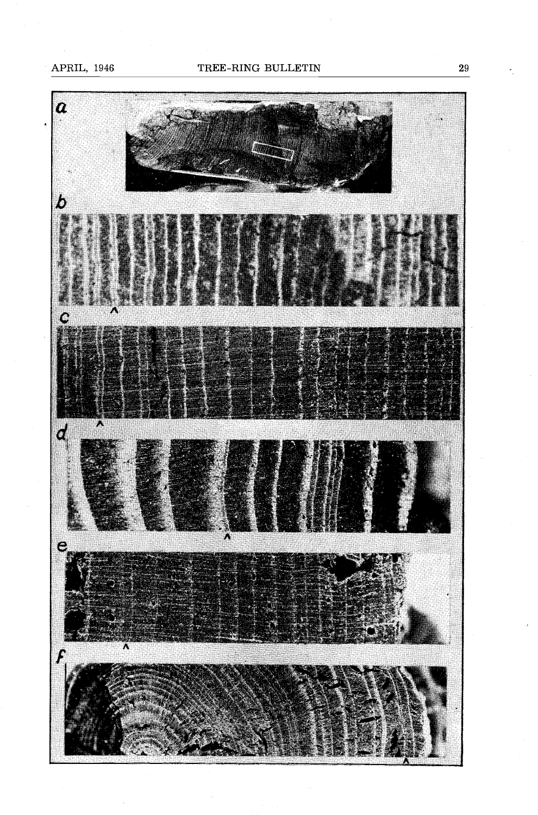APRIL, 1946



29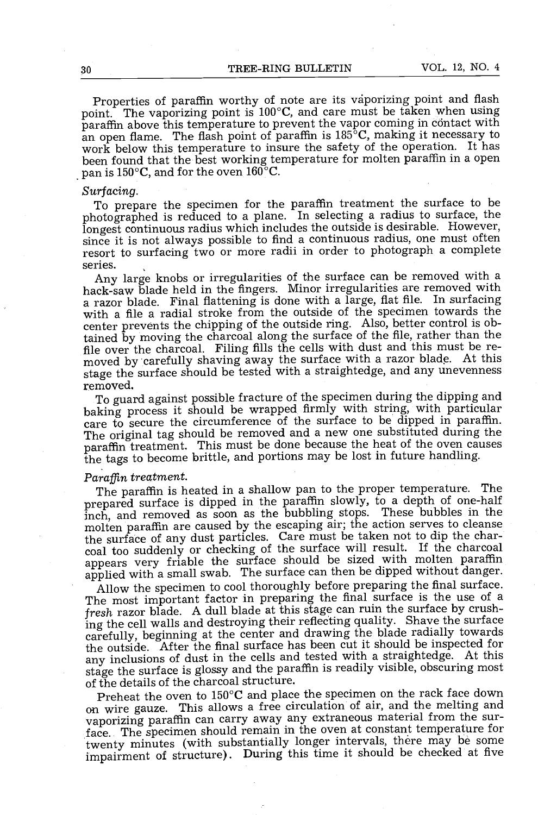Properties of paraffin worthy of note are its vaporizing point and flash point. The vaporizing point is 100°C, and care must be taken when using paraffin above this temperature to prevent the vapor coming in contact with an open flame. The flash point of paraffin is  $185^{\circ}$ C, making it necessary to work below this temperature to insure the safety of the operation. It has been found that the best working temperature for molten paraffin in a open pan is  $150^{\circ}$ C, and for the oven  $160^{\circ}$ C.

Surfacing.<br>To prepare the specimen for the paraffin treatment the surface to be photographed is reduced to a plane. In selecting a radius to surface, the longest continuous radius which includes the outside is desirable. H since it is not always possible to find a continuous radius, one must often resort to surfacing two or more radii in order to photograph a complete

series.<br>Any large knobs or irregularities of the surface can be removed with a hack-saw blade held in the fingers. Minor irregularities are removed with a razor blade. Final flattening is done with a large, flat file. In surfacing with a file a radial stroke from the outside of the specimen towards the center prevents the chipping of the outside ring. Also, better control is obtained by moving the charcoal along the surface of the file, rather than the moved by carefully shaving away the surface with a razor blade. At this stage the surface should be tested with a straightedge, and any unevenness removed.

To guard against possible fracture of the specimen during the dipping and baking process it should be wrapped firmly with string, with particular care to secure the circumference of the surface to be dipped in paraffin. The original tag should be removed and a new one substituted during the paraffin treatment. This must be done because the heat of the oven causes the tags to become brittle, and portions may be lost in future handling.

# Paraffin treatment.

The paraffin is heated in a shallow pan to the proper temperature. The prepared surface is dipped in the paraffin slowly, to a depth of one -half inch, and removed as soon as the bubbling stops. These bubbles in the molten paraffin are caused by the escaping air; the action serves to cleanse the surface of any dust particles. Care must be taken not to dip the charcoal too suddenly or checking of the surface will result. If the charcoal appears very friable the surface should be sized with molten paraffin applied with a small swab. The surface can then be dipped without danger.

Allow the specimen to cool thoroughly before preparing the final surface. The most important factor in preparing the final surface is the use of a fresh razor blade. A dull blade at this stage can ruin the surface by crushing the cell walls and destroying their reflecting quality. Shave the surface carefully, beginning at the center and drawing the blade radially towards the outside. After the final surface has been cut it should be inspected for any inclusions of dust in the cells and tested with a straightedge. At this stage the surface is glossy and the paraffin is readily visible, obscuring most of the details of the charcoal structure.

Preheat the oven to 150°C and place the specimen on the rack face down on wire gauze. This allows a free circulation of air, and the melting and vaporizing paraffin can carry away any extraneous material from the surface. The specimen should remain in the oven at constant temperature for twenty minutes (with substantially longer intervals, there may be some impairment of structure). During this time it should be checked at five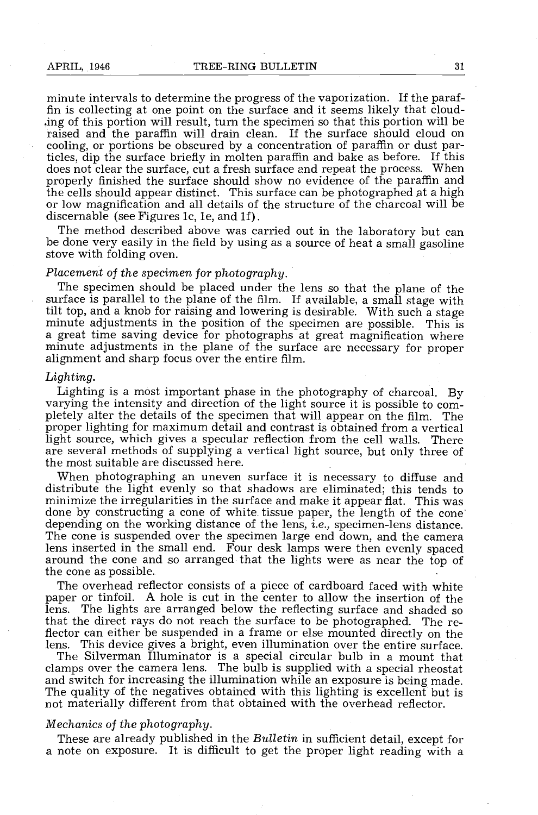minute intervals to determine the progress of the vaporization. If the paraf- fin is collecting at one point on the surface and it seems likely that clouding of this portion will result, turn the specimen so that this portion will be raised and the paraffin will drain clean. If the surface should cloud on cooling, or portions be obscured by a concentration of paraffin or dust particles, dip the surface briefly in molten paraffin and bake as before. If this does not clear the surface, cut a fresh surface and repeat the process. When properly finished the surface should show no evidence of the paraffin and the cells should appear distinct. This surface can be photographed at a or low magnification and all details of the structure of the charcoal will be discernable (see Figures 1c, 1e, and 1f).

The method described above was carried out in the laboratory but can be done very easily in the field by using as a source of heat a small gasoline stove with folding oven.

### Placement of the specimen for photography.

The specimen should be placed under the lens so that the plane of the surface is parallel to the plane of the film. If available, a small stage with tilt top, and a knob for raising and lowering is desirable. With such a stage minute adjustments in the position of the specimen are possible. This is a great time saving device for photographs at great magnification where minute adjustments in the plane of the surface are necessary for proper alignment and sharp focus over the entire film.

#### Lighting.

Lighting is a most important phase in the photography of charcoal. By varying the intensity and direction of the light source it is possible to completely alter the details of the specimen that will appear on the film. The proper lighting for maximum detail and contrast is obtained from a vertical light source, which gives a specular reflection from the cell walls. T are several methods of supplying a vertical light source, but only three of the most suitable are discussed here.

When photographing an uneven surface it is necessary to diffuse and distribute the light evenly so that shadows are eliminated; this tends to minimize the irregularities in the surface and make it appear flat. This was don depending on the working distance of the lens, *i.e.*, specimen-lens distance. The cone is suspended over the specimen large end down, and the camera lens inserted in the small end. Four desk lamps were then evenly spaced around the cone and so arranged that the lights were as near the top of the cone as possible.

The overhead reflector consists of a piece of cardboard faced with white paper or tinfoil. A hole is cut in the center to allow the insertion of the lens. The lights are arranged below the reflecting surface and shaded so that the direct rays do not reach the surface to be photographed. The reflector can either be suspended in a frame or else mounted directly on the lens. This device gives a bright, even illumination over the entire surface.

lens. This device gives a bright, even illumination over the entire surface.<br>The Silverman Illuminator is a special circular bulb in a mount that<br>clamps over the camera lens. The bulb is supplied with a special rheostat<br>an

### Mechanics of the photography.

These are already published in the Bulletin in sufficient detail, except for a note on exposure. It is difficult to get the proper light reading with a